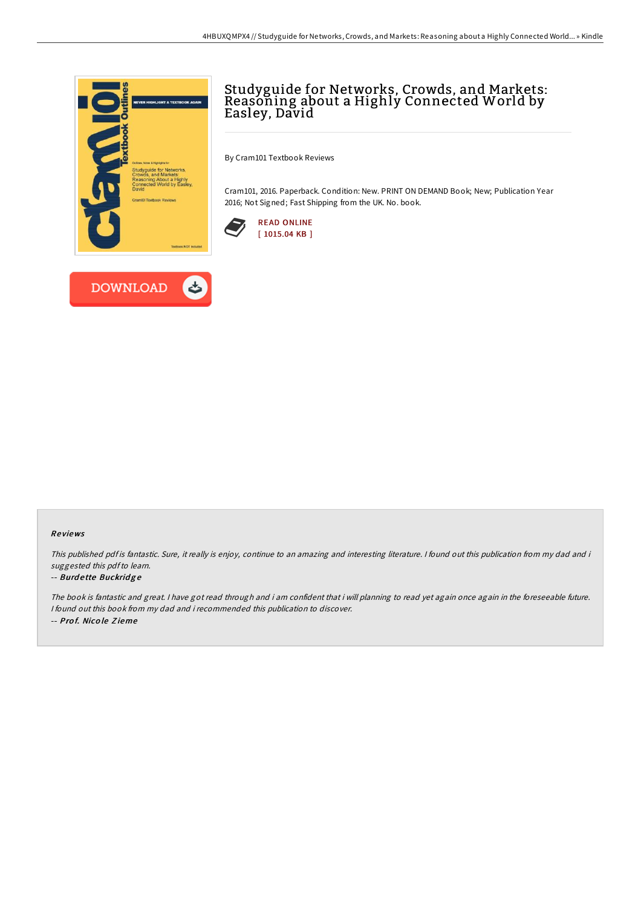

# Studyguide for Networks, Crowds, and Markets: Reasoning about a Highly Connected World by Easley, David

By Cram101 Textbook Reviews

Cram101, 2016. Paperback. Condition: New. PRINT ON DEMAND Book; New; Publication Year 2016; Not Signed; Fast Shipping from the UK. No. book.





#### Re views

This published pdf is fantastic. Sure, it really is enjoy, continue to an amazing and interesting literature. I found out this publication from my dad and i suggested this pdfto learn.

### -- Burdette Buckridge

The book is fantastic and great. <sup>I</sup> have got read through and i am confident that i will planning to read yet again once again in the foreseeable future. I found out this book from my dad and i recommended this publication to discover. -- Pro f. Nico le Z ieme